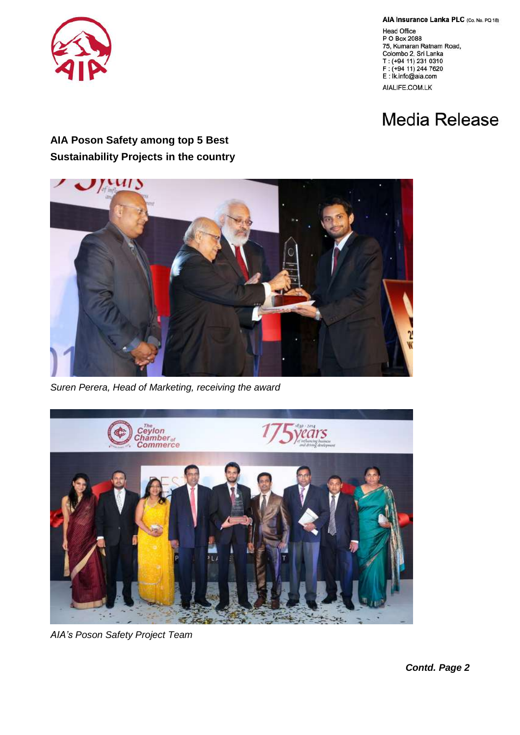

AIA Insurance Lanka PLC (Co. No. PQ 18)

Head Office<br>P O Box 2088 75, Kumaran Ratnam Road, Colombo 2, Sri Lanka T: (+94 11) 231 0310 F: (+94 11) 244 7620 E: Ik.info@aia.com AIALIFE.COM.LK

## **Media Release**

## **AIA Poson Safety among top 5 Best Sustainability Projects in the country**



*Suren Perera, Head of Marketing, receiving the award*



*AIA's Poson Safety Project Team*